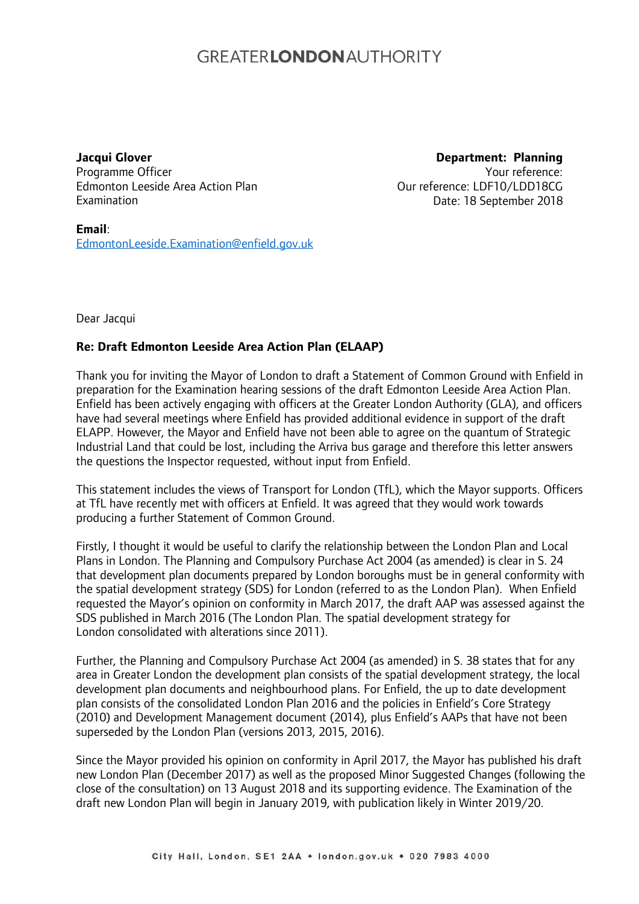## **GREATERLONDON AUTHORITY**

## **Jacqui Glover**

Programme Officer Edmonton Leeside Area Action Plan Examination

**Department: Planning** Your reference: Our reference: LDF10/LDD18CG Date: 18 September 2018

**Email**: [EdmontonLeeside.Examination@enfield.gov.uk](mailto:EdmontonLeeside.Examination@enfield.gov.uk)

Dear Jacqui

## **Re: Draft Edmonton Leeside Area Action Plan (ELAAP)**

Thank you for inviting the Mayor of London to draft a Statement of Common Ground with Enfield in preparation for the Examination hearing sessions of the draft Edmonton Leeside Area Action Plan. Enfield has been actively engaging with officers at the Greater London Authority (GLA), and officers have had several meetings where Enfield has provided additional evidence in support of the draft ELAPP. However, the Mayor and Enfield have not been able to agree on the quantum of Strategic Industrial Land that could be lost, including the Arriva bus garage and therefore this letter answers the questions the Inspector requested, without input from Enfield.

This statement includes the views of Transport for London (TfL), which the Mayor supports. Officers at TfL have recently met with officers at Enfield. It was agreed that they would work towards producing a further Statement of Common Ground.

Firstly, I thought it would be useful to clarify the relationship between the London Plan and Local Plans in London. The Planning and Compulsory Purchase Act 2004 (as amended) is clear in S. 24 that development plan documents prepared by London boroughs must be in general conformity with the spatial development strategy (SDS) for London (referred to as the London Plan). When Enfield requested the Mayor's opinion on conformity in March 2017, the draft AAP was assessed against the SDS published in March 2016 (The London Plan. The spatial development strategy for London consolidated with alterations since 2011).

Further, the Planning and Compulsory Purchase Act 2004 (as amended) in S. 38 states that for any area in Greater London the development plan consists of the spatial development strategy, the local development plan documents and neighbourhood plans. For Enfield, the up to date development plan consists of the consolidated London Plan 2016 and the policies in Enfield's Core Strategy (2010) and Development Management document (2014), plus Enfield's AAPs that have not been superseded by the London Plan (versions 2013, 2015, 2016).

Since the Mayor provided his opinion on conformity in April 2017, the Mayor has published his draft new London Plan (December 2017) as well as the proposed Minor Suggested Changes (following the close of the consultation) on 13 August 2018 and its supporting evidence. The Examination of the draft new London Plan will begin in January 2019, with publication likely in Winter 2019/20.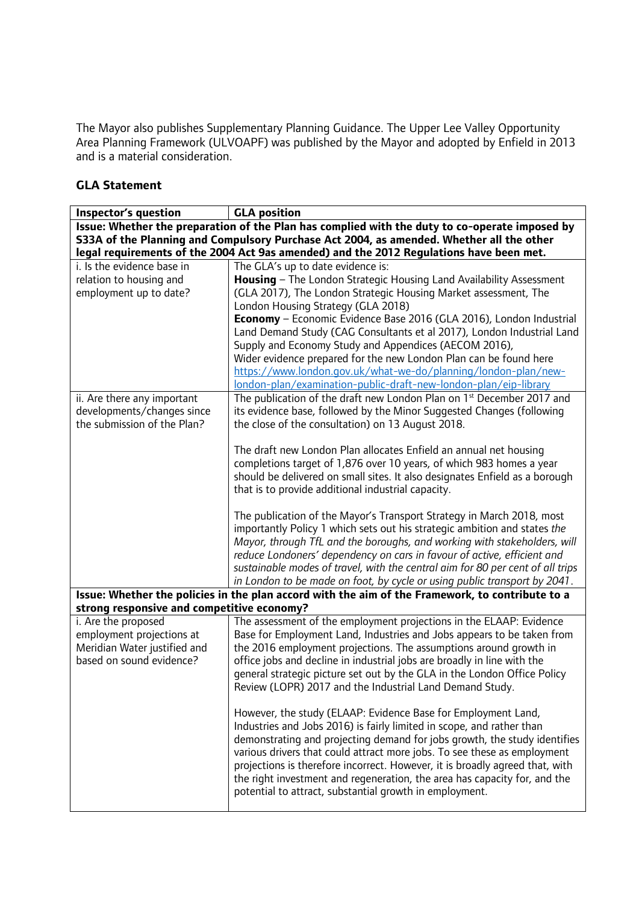The Mayor also publishes Supplementary Planning Guidance. The Upper Lee Valley Opportunity Area Planning Framework (ULVOAPF) was published by the Mayor and adopted by Enfield in 2013 and is a material consideration.

## **GLA Statement**

| Inspector's question                                                                                         | <b>GLA position</b>                                                                                                                                                                                                                                                                                                                                                                                                                                                                                                     |  |  |  |
|--------------------------------------------------------------------------------------------------------------|-------------------------------------------------------------------------------------------------------------------------------------------------------------------------------------------------------------------------------------------------------------------------------------------------------------------------------------------------------------------------------------------------------------------------------------------------------------------------------------------------------------------------|--|--|--|
| Issue: Whether the preparation of the Plan has complied with the duty to co-operate imposed by               |                                                                                                                                                                                                                                                                                                                                                                                                                                                                                                                         |  |  |  |
| S33A of the Planning and Compulsory Purchase Act 2004, as amended. Whether all the other                     |                                                                                                                                                                                                                                                                                                                                                                                                                                                                                                                         |  |  |  |
|                                                                                                              | legal requirements of the 2004 Act 9as amended) and the 2012 Regulations have been met.                                                                                                                                                                                                                                                                                                                                                                                                                                 |  |  |  |
| i. Is the evidence base in                                                                                   | The GLA's up to date evidence is:                                                                                                                                                                                                                                                                                                                                                                                                                                                                                       |  |  |  |
| relation to housing and                                                                                      | Housing - The London Strategic Housing Land Availability Assessment                                                                                                                                                                                                                                                                                                                                                                                                                                                     |  |  |  |
| employment up to date?                                                                                       | (GLA 2017), The London Strategic Housing Market assessment, The                                                                                                                                                                                                                                                                                                                                                                                                                                                         |  |  |  |
|                                                                                                              | London Housing Strategy (GLA 2018)                                                                                                                                                                                                                                                                                                                                                                                                                                                                                      |  |  |  |
|                                                                                                              | Economy - Economic Evidence Base 2016 (GLA 2016), London Industrial                                                                                                                                                                                                                                                                                                                                                                                                                                                     |  |  |  |
|                                                                                                              | Land Demand Study (CAG Consultants et al 2017), London Industrial Land                                                                                                                                                                                                                                                                                                                                                                                                                                                  |  |  |  |
|                                                                                                              | Supply and Economy Study and Appendices (AECOM 2016),<br>Wider evidence prepared for the new London Plan can be found here                                                                                                                                                                                                                                                                                                                                                                                              |  |  |  |
|                                                                                                              | https://www.london.gov.uk/what-we-do/planning/london-plan/new-                                                                                                                                                                                                                                                                                                                                                                                                                                                          |  |  |  |
|                                                                                                              | london-plan/examination-public-draft-new-london-plan/eip-library                                                                                                                                                                                                                                                                                                                                                                                                                                                        |  |  |  |
| ii. Are there any important                                                                                  | The publication of the draft new London Plan on 1st December 2017 and                                                                                                                                                                                                                                                                                                                                                                                                                                                   |  |  |  |
| developments/changes since                                                                                   | its evidence base, followed by the Minor Suggested Changes (following                                                                                                                                                                                                                                                                                                                                                                                                                                                   |  |  |  |
| the submission of the Plan?                                                                                  | the close of the consultation) on 13 August 2018.                                                                                                                                                                                                                                                                                                                                                                                                                                                                       |  |  |  |
|                                                                                                              |                                                                                                                                                                                                                                                                                                                                                                                                                                                                                                                         |  |  |  |
|                                                                                                              | The draft new London Plan allocates Enfield an annual net housing                                                                                                                                                                                                                                                                                                                                                                                                                                                       |  |  |  |
|                                                                                                              | completions target of 1,876 over 10 years, of which 983 homes a year                                                                                                                                                                                                                                                                                                                                                                                                                                                    |  |  |  |
|                                                                                                              | should be delivered on small sites. It also designates Enfield as a borough                                                                                                                                                                                                                                                                                                                                                                                                                                             |  |  |  |
|                                                                                                              | that is to provide additional industrial capacity.                                                                                                                                                                                                                                                                                                                                                                                                                                                                      |  |  |  |
|                                                                                                              | The publication of the Mayor's Transport Strategy in March 2018, most<br>importantly Policy 1 which sets out his strategic ambition and states the<br>Mayor, through TfL and the boroughs, and working with stakeholders, will<br>reduce Londoners' dependency on cars in favour of active, efficient and<br>sustainable modes of travel, with the central aim for 80 per cent of all trips<br>in London to be made on foot, by cycle or using public transport by 2041.                                                |  |  |  |
|                                                                                                              | Issue: Whether the policies in the plan accord with the aim of the Framework, to contribute to a                                                                                                                                                                                                                                                                                                                                                                                                                        |  |  |  |
| strong responsive and competitive economy?                                                                   |                                                                                                                                                                                                                                                                                                                                                                                                                                                                                                                         |  |  |  |
| i. Are the proposed<br>employment projections at<br>Meridian Water justified and<br>based on sound evidence? | The assessment of the employment projections in the ELAAP: Evidence<br>Base for Employment Land, Industries and Jobs appears to be taken from<br>the 2016 employment projections. The assumptions around growth in<br>office jobs and decline in industrial jobs are broadly in line with the<br>general strategic picture set out by the GLA in the London Office Policy<br>Review (LOPR) 2017 and the Industrial Land Demand Study.                                                                                   |  |  |  |
|                                                                                                              | However, the study (ELAAP: Evidence Base for Employment Land,<br>Industries and Jobs 2016) is fairly limited in scope, and rather than<br>demonstrating and projecting demand for jobs growth, the study identifies<br>various drivers that could attract more jobs. To see these as employment<br>projections is therefore incorrect. However, it is broadly agreed that, with<br>the right investment and regeneration, the area has capacity for, and the<br>potential to attract, substantial growth in employment. |  |  |  |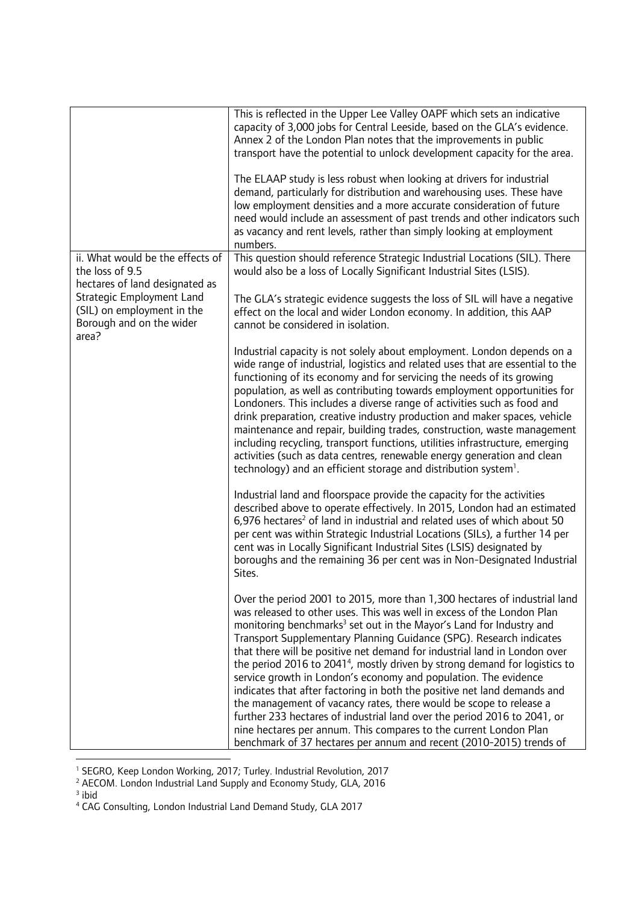|                                                                                                                                                                                       | This is reflected in the Upper Lee Valley OAPF which sets an indicative<br>capacity of 3,000 jobs for Central Leeside, based on the GLA's evidence.<br>Annex 2 of the London Plan notes that the improvements in public<br>transport have the potential to unlock development capacity for the area.<br>The ELAAP study is less robust when looking at drivers for industrial<br>demand, particularly for distribution and warehousing uses. These have<br>low employment densities and a more accurate consideration of future<br>need would include an assessment of past trends and other indicators such<br>as vacancy and rent levels, rather than simply looking at employment<br>numbers.                                                                                                                                                                                                                                  |
|---------------------------------------------------------------------------------------------------------------------------------------------------------------------------------------|-----------------------------------------------------------------------------------------------------------------------------------------------------------------------------------------------------------------------------------------------------------------------------------------------------------------------------------------------------------------------------------------------------------------------------------------------------------------------------------------------------------------------------------------------------------------------------------------------------------------------------------------------------------------------------------------------------------------------------------------------------------------------------------------------------------------------------------------------------------------------------------------------------------------------------------|
| ii. What would be the effects of<br>the loss of 9.5<br>hectares of land designated as<br>Strategic Employment Land<br>(SIL) on employment in the<br>Borough and on the wider<br>area? | This question should reference Strategic Industrial Locations (SIL). There<br>would also be a loss of Locally Significant Industrial Sites (LSIS).<br>The GLA's strategic evidence suggests the loss of SIL will have a negative<br>effect on the local and wider London economy. In addition, this AAP<br>cannot be considered in isolation.                                                                                                                                                                                                                                                                                                                                                                                                                                                                                                                                                                                     |
|                                                                                                                                                                                       | Industrial capacity is not solely about employment. London depends on a<br>wide range of industrial, logistics and related uses that are essential to the<br>functioning of its economy and for servicing the needs of its growing<br>population, as well as contributing towards employment opportunities for<br>Londoners. This includes a diverse range of activities such as food and<br>drink preparation, creative industry production and maker spaces, vehicle<br>maintenance and repair, building trades, construction, waste management<br>including recycling, transport functions, utilities infrastructure, emerging<br>activities (such as data centres, renewable energy generation and clean<br>technology) and an efficient storage and distribution system <sup>1</sup> .                                                                                                                                       |
|                                                                                                                                                                                       | Industrial land and floorspace provide the capacity for the activities<br>described above to operate effectively. In 2015, London had an estimated<br>6,976 hectares <sup>2</sup> of land in industrial and related uses of which about 50<br>per cent was within Strategic Industrial Locations (SILs), a further 14 per<br>cent was in Locally Significant Industrial Sites (LSIS) designated by<br>boroughs and the remaining 36 per cent was in Non-Designated Industrial<br>Sites.                                                                                                                                                                                                                                                                                                                                                                                                                                           |
|                                                                                                                                                                                       | Over the period 2001 to 2015, more than 1,300 hectares of industrial land<br>was released to other uses. This was well in excess of the London Plan<br>monitoring benchmarks <sup>3</sup> set out in the Mayor's Land for Industry and<br>Transport Supplementary Planning Guidance (SPG). Research indicates<br>that there will be positive net demand for industrial land in London over<br>the period 2016 to 2041 <sup>4</sup> , mostly driven by strong demand for logistics to<br>service growth in London's economy and population. The evidence<br>indicates that after factoring in both the positive net land demands and<br>the management of vacancy rates, there would be scope to release a<br>further 233 hectares of industrial land over the period 2016 to 2041, or<br>nine hectares per annum. This compares to the current London Plan<br>benchmark of 37 hectares per annum and recent (2010-2015) trends of |

<sup>&</sup>lt;sup>1</sup> SEGRO, Keep London Working, 2017; Turley. Industrial Revolution, 2017

<sup>&</sup>lt;sup>2</sup> AECOM. London Industrial Land Supply and Economy Study, GLA, 2016<br><sup>3</sup> ibid

<sup>4</sup> CAG Consulting, London Industrial Land Demand Study, GLA 2017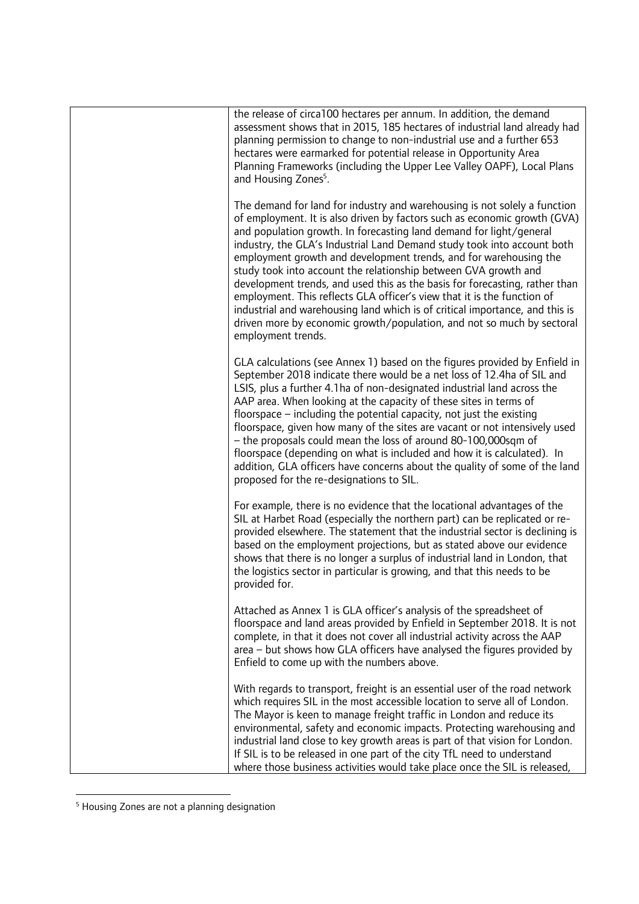| the release of circa100 hectares per annum. In addition, the demand<br>assessment shows that in 2015, 185 hectares of industrial land already had<br>planning permission to change to non-industrial use and a further 653<br>hectares were earmarked for potential release in Opportunity Area<br>Planning Frameworks (including the Upper Lee Valley OAPF), Local Plans<br>and Housing Zones <sup>5</sup> .                                                                                                                                                                                                                                                                                                                                                                              |
|--------------------------------------------------------------------------------------------------------------------------------------------------------------------------------------------------------------------------------------------------------------------------------------------------------------------------------------------------------------------------------------------------------------------------------------------------------------------------------------------------------------------------------------------------------------------------------------------------------------------------------------------------------------------------------------------------------------------------------------------------------------------------------------------|
| The demand for land for industry and warehousing is not solely a function<br>of employment. It is also driven by factors such as economic growth (GVA)<br>and population growth. In forecasting land demand for light/general<br>industry, the GLA's Industrial Land Demand study took into account both<br>employment growth and development trends, and for warehousing the<br>study took into account the relationship between GVA growth and<br>development trends, and used this as the basis for forecasting, rather than<br>employment. This reflects GLA officer's view that it is the function of<br>industrial and warehousing land which is of critical importance, and this is<br>driven more by economic growth/population, and not so much by sectoral<br>employment trends. |
| GLA calculations (see Annex 1) based on the figures provided by Enfield in<br>September 2018 indicate there would be a net loss of 12.4ha of SIL and<br>LSIS, plus a further 4.1ha of non-designated industrial land across the<br>AAP area. When looking at the capacity of these sites in terms of<br>floorspace $-$ including the potential capacity, not just the existing<br>floorspace, given how many of the sites are vacant or not intensively used<br>- the proposals could mean the loss of around 80-100,000sqm of<br>floorspace (depending on what is included and how it is calculated). In<br>addition, GLA officers have concerns about the quality of some of the land<br>proposed for the re-designations to SIL.                                                        |
| For example, there is no evidence that the locational advantages of the<br>SIL at Harbet Road (especially the northern part) can be replicated or re-<br>provided elsewhere. The statement that the industrial sector is declining is<br>based on the employment projections, but as stated above our evidence<br>shows that there is no longer a surplus of industrial land in London, that<br>the logistics sector in particular is growing, and that this needs to be<br>provided for.                                                                                                                                                                                                                                                                                                  |
| Attached as Annex 1 is GLA officer's analysis of the spreadsheet of<br>floorspace and land areas provided by Enfield in September 2018. It is not<br>complete, in that it does not cover all industrial activity across the AAP<br>area – but shows how GLA officers have analysed the figures provided by<br>Enfield to come up with the numbers above.                                                                                                                                                                                                                                                                                                                                                                                                                                   |
| With regards to transport, freight is an essential user of the road network<br>which requires SIL in the most accessible location to serve all of London.<br>The Mayor is keen to manage freight traffic in London and reduce its<br>environmental, safety and economic impacts. Protecting warehousing and<br>industrial land close to key growth areas is part of that vision for London.<br>If SIL is to be released in one part of the city TfL need to understand<br>where those business activities would take place once the SIL is released,                                                                                                                                                                                                                                       |

<sup>&</sup>lt;sup>5</sup> Housing Zones are not a planning designation

 $\overline{a}$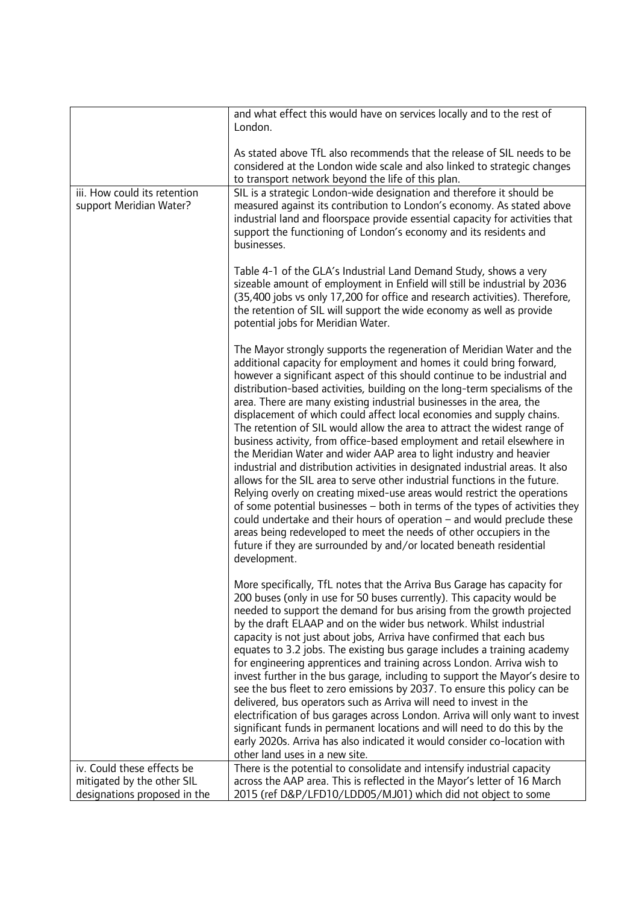| London.<br>As stated above TfL also recommends that the release of SIL needs to be<br>considered at the London wide scale and also linked to strategic changes<br>to transport network beyond the life of this plan.<br>iii. How could its retention<br>SIL is a strategic London-wide designation and therefore it should be<br>measured against its contribution to London's economy. As stated above<br>support Meridian Water?<br>industrial land and floorspace provide essential capacity for activities that<br>support the functioning of London's economy and its residents and<br>businesses.<br>Table 4-1 of the GLA's Industrial Land Demand Study, shows a very<br>sizeable amount of employment in Enfield will still be industrial by 2036<br>(35,400 jobs vs only 17,200 for office and research activities). Therefore,<br>the retention of SIL will support the wide economy as well as provide<br>potential jobs for Meridian Water.<br>The Mayor strongly supports the regeneration of Meridian Water and the<br>additional capacity for employment and homes it could bring forward,<br>however a significant aspect of this should continue to be industrial and<br>distribution-based activities, building on the long-term specialisms of the<br>area. There are many existing industrial businesses in the area, the<br>displacement of which could affect local economies and supply chains.<br>The retention of SIL would allow the area to attract the widest range of |
|----------------------------------------------------------------------------------------------------------------------------------------------------------------------------------------------------------------------------------------------------------------------------------------------------------------------------------------------------------------------------------------------------------------------------------------------------------------------------------------------------------------------------------------------------------------------------------------------------------------------------------------------------------------------------------------------------------------------------------------------------------------------------------------------------------------------------------------------------------------------------------------------------------------------------------------------------------------------------------------------------------------------------------------------------------------------------------------------------------------------------------------------------------------------------------------------------------------------------------------------------------------------------------------------------------------------------------------------------------------------------------------------------------------------------------------------------------------------------------------------------|
|                                                                                                                                                                                                                                                                                                                                                                                                                                                                                                                                                                                                                                                                                                                                                                                                                                                                                                                                                                                                                                                                                                                                                                                                                                                                                                                                                                                                                                                                                                    |
|                                                                                                                                                                                                                                                                                                                                                                                                                                                                                                                                                                                                                                                                                                                                                                                                                                                                                                                                                                                                                                                                                                                                                                                                                                                                                                                                                                                                                                                                                                    |
|                                                                                                                                                                                                                                                                                                                                                                                                                                                                                                                                                                                                                                                                                                                                                                                                                                                                                                                                                                                                                                                                                                                                                                                                                                                                                                                                                                                                                                                                                                    |
|                                                                                                                                                                                                                                                                                                                                                                                                                                                                                                                                                                                                                                                                                                                                                                                                                                                                                                                                                                                                                                                                                                                                                                                                                                                                                                                                                                                                                                                                                                    |
| business activity, from office-based employment and retail elsewhere in<br>the Meridian Water and wider AAP area to light industry and heavier<br>industrial and distribution activities in designated industrial areas. It also<br>allows for the SIL area to serve other industrial functions in the future.<br>Relying overly on creating mixed-use areas would restrict the operations<br>of some potential businesses – both in terms of the types of activities they<br>could undertake and their hours of operation $-$ and would preclude these<br>areas being redeveloped to meet the needs of other occupiers in the<br>future if they are surrounded by and/or located beneath residential<br>development.                                                                                                                                                                                                                                                                                                                                                                                                                                                                                                                                                                                                                                                                                                                                                                              |
| More specifically, TfL notes that the Arriva Bus Garage has capacity for<br>200 buses (only in use for 50 buses currently). This capacity would be<br>needed to support the demand for bus arising from the growth projected<br>by the draft ELAAP and on the wider bus network. Whilst industrial<br>capacity is not just about jobs, Arriva have confirmed that each bus<br>equates to 3.2 jobs. The existing bus garage includes a training academy<br>for engineering apprentices and training across London. Arriva wish to<br>invest further in the bus garage, including to support the Mayor's desire to<br>see the bus fleet to zero emissions by 2037. To ensure this policy can be<br>delivered, bus operators such as Arriva will need to invest in the<br>electrification of bus garages across London. Arriva will only want to invest<br>significant funds in permanent locations and will need to do this by the<br>early 2020s. Arriva has also indicated it would consider co-location with<br>other land uses in a new site.                                                                                                                                                                                                                                                                                                                                                                                                                                                    |
| There is the potential to consolidate and intensify industrial capacity<br>iv. Could these effects be                                                                                                                                                                                                                                                                                                                                                                                                                                                                                                                                                                                                                                                                                                                                                                                                                                                                                                                                                                                                                                                                                                                                                                                                                                                                                                                                                                                              |
| mitigated by the other SIL<br>across the AAP area. This is reflected in the Mayor's letter of 16 March<br>2015 (ref D&P/LFD10/LDD05/MJ01) which did not object to some<br>designations proposed in the                                                                                                                                                                                                                                                                                                                                                                                                                                                                                                                                                                                                                                                                                                                                                                                                                                                                                                                                                                                                                                                                                                                                                                                                                                                                                             |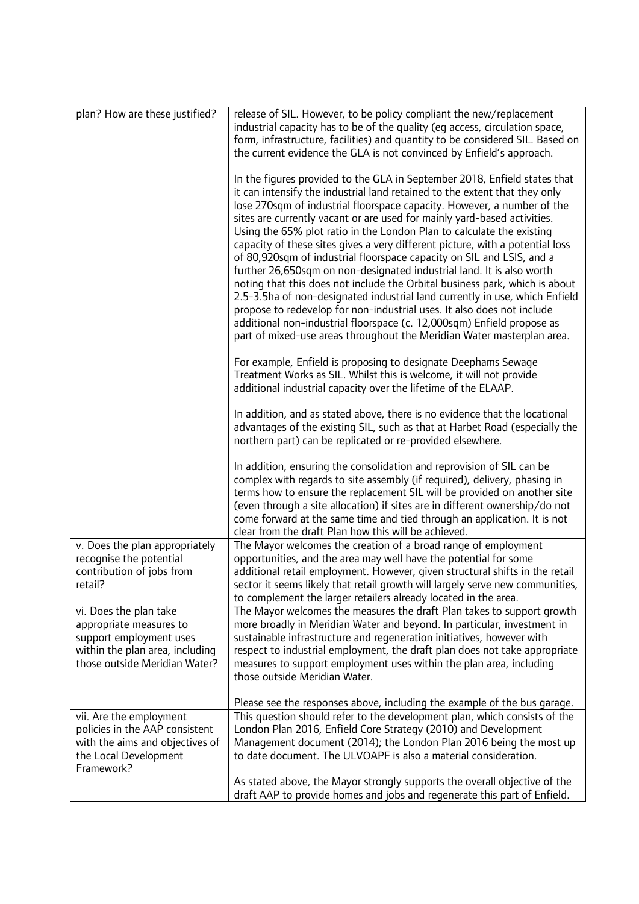| plan? How are these justified?                                                                                                                   | release of SIL. However, to be policy compliant the new/replacement<br>industrial capacity has to be of the quality (eg access, circulation space,<br>form, infrastructure, facilities) and quantity to be considered SIL. Based on<br>the current evidence the GLA is not convinced by Enfield's approach.                                                                                                                                                                                                                                                                                                                                                                                                                                                                                                                                                                                                                                                                                                            |
|--------------------------------------------------------------------------------------------------------------------------------------------------|------------------------------------------------------------------------------------------------------------------------------------------------------------------------------------------------------------------------------------------------------------------------------------------------------------------------------------------------------------------------------------------------------------------------------------------------------------------------------------------------------------------------------------------------------------------------------------------------------------------------------------------------------------------------------------------------------------------------------------------------------------------------------------------------------------------------------------------------------------------------------------------------------------------------------------------------------------------------------------------------------------------------|
|                                                                                                                                                  | In the figures provided to the GLA in September 2018, Enfield states that<br>it can intensify the industrial land retained to the extent that they only<br>lose 270sqm of industrial floorspace capacity. However, a number of the<br>sites are currently vacant or are used for mainly yard-based activities.<br>Using the 65% plot ratio in the London Plan to calculate the existing<br>capacity of these sites gives a very different picture, with a potential loss<br>of 80,920sqm of industrial floorspace capacity on SIL and LSIS, and a<br>further 26,650sqm on non-designated industrial land. It is also worth<br>noting that this does not include the Orbital business park, which is about<br>2.5-3.5ha of non-designated industrial land currently in use, which Enfield<br>propose to redevelop for non-industrial uses. It also does not include<br>additional non-industrial floorspace (c. 12,000sqm) Enfield propose as<br>part of mixed-use areas throughout the Meridian Water masterplan area. |
|                                                                                                                                                  | For example, Enfield is proposing to designate Deephams Sewage<br>Treatment Works as SIL. Whilst this is welcome, it will not provide<br>additional industrial capacity over the lifetime of the ELAAP.                                                                                                                                                                                                                                                                                                                                                                                                                                                                                                                                                                                                                                                                                                                                                                                                                |
|                                                                                                                                                  | In addition, and as stated above, there is no evidence that the locational<br>advantages of the existing SIL, such as that at Harbet Road (especially the<br>northern part) can be replicated or re-provided elsewhere.                                                                                                                                                                                                                                                                                                                                                                                                                                                                                                                                                                                                                                                                                                                                                                                                |
|                                                                                                                                                  | In addition, ensuring the consolidation and reprovision of SIL can be<br>complex with regards to site assembly (if required), delivery, phasing in<br>terms how to ensure the replacement SIL will be provided on another site<br>(even through a site allocation) if sites are in different ownership/do not<br>come forward at the same time and tied through an application. It is not<br>clear from the draft Plan how this will be achieved.                                                                                                                                                                                                                                                                                                                                                                                                                                                                                                                                                                      |
| v. Does the plan appropriately<br>recognise the potential<br>contribution of jobs from<br>retail?                                                | The Mayor welcomes the creation of a broad range of employment<br>opportunities, and the area may well have the potential for some<br>additional retail employment. However, given structural shifts in the retail<br>sector it seems likely that retail growth will largely serve new communities,<br>to complement the larger retailers already located in the area.                                                                                                                                                                                                                                                                                                                                                                                                                                                                                                                                                                                                                                                 |
| vi. Does the plan take<br>appropriate measures to<br>support employment uses<br>within the plan area, including<br>those outside Meridian Water? | The Mayor welcomes the measures the draft Plan takes to support growth<br>more broadly in Meridian Water and beyond. In particular, investment in<br>sustainable infrastructure and regeneration initiatives, however with<br>respect to industrial employment, the draft plan does not take appropriate<br>measures to support employment uses within the plan area, including<br>those outside Meridian Water.                                                                                                                                                                                                                                                                                                                                                                                                                                                                                                                                                                                                       |
|                                                                                                                                                  | Please see the responses above, including the example of the bus garage.<br>This question should refer to the development plan, which consists of the                                                                                                                                                                                                                                                                                                                                                                                                                                                                                                                                                                                                                                                                                                                                                                                                                                                                  |
| vii. Are the employment<br>policies in the AAP consistent<br>with the aims and objectives of<br>the Local Development<br>Framework?              | London Plan 2016, Enfield Core Strategy (2010) and Development<br>Management document (2014); the London Plan 2016 being the most up<br>to date document. The ULVOAPF is also a material consideration.                                                                                                                                                                                                                                                                                                                                                                                                                                                                                                                                                                                                                                                                                                                                                                                                                |
|                                                                                                                                                  | As stated above, the Mayor strongly supports the overall objective of the<br>draft AAP to provide homes and jobs and regenerate this part of Enfield.                                                                                                                                                                                                                                                                                                                                                                                                                                                                                                                                                                                                                                                                                                                                                                                                                                                                  |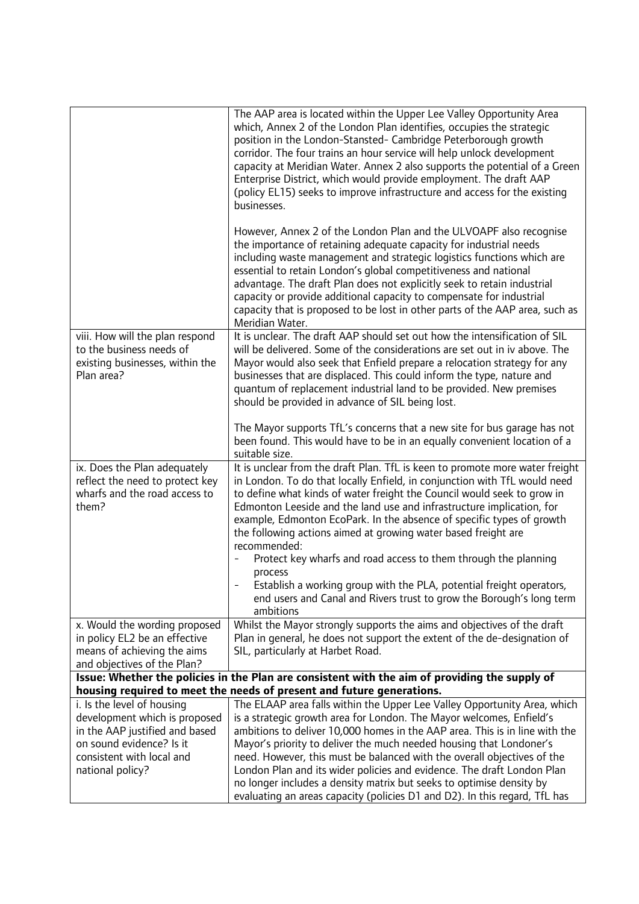|                                                                                                                                                                            | The AAP area is located within the Upper Lee Valley Opportunity Area<br>which, Annex 2 of the London Plan identifies, occupies the strategic<br>position in the London-Stansted- Cambridge Peterborough growth<br>corridor. The four trains an hour service will help unlock development<br>capacity at Meridian Water. Annex 2 also supports the potential of a Green<br>Enterprise District, which would provide employment. The draft AAP<br>(policy EL15) seeks to improve infrastructure and access for the existing<br>businesses.                                                                                                                                                                            |
|----------------------------------------------------------------------------------------------------------------------------------------------------------------------------|---------------------------------------------------------------------------------------------------------------------------------------------------------------------------------------------------------------------------------------------------------------------------------------------------------------------------------------------------------------------------------------------------------------------------------------------------------------------------------------------------------------------------------------------------------------------------------------------------------------------------------------------------------------------------------------------------------------------|
|                                                                                                                                                                            | However, Annex 2 of the London Plan and the ULVOAPF also recognise<br>the importance of retaining adequate capacity for industrial needs<br>including waste management and strategic logistics functions which are<br>essential to retain London's global competitiveness and national<br>advantage. The draft Plan does not explicitly seek to retain industrial<br>capacity or provide additional capacity to compensate for industrial<br>capacity that is proposed to be lost in other parts of the AAP area, such as<br>Meridian Water.                                                                                                                                                                        |
| viii. How will the plan respond<br>to the business needs of<br>existing businesses, within the<br>Plan area?                                                               | It is unclear. The draft AAP should set out how the intensification of SIL<br>will be delivered. Some of the considerations are set out in iv above. The<br>Mayor would also seek that Enfield prepare a relocation strategy for any<br>businesses that are displaced. This could inform the type, nature and<br>quantum of replacement industrial land to be provided. New premises<br>should be provided in advance of SIL being lost.                                                                                                                                                                                                                                                                            |
|                                                                                                                                                                            | The Mayor supports TfL's concerns that a new site for bus garage has not<br>been found. This would have to be in an equally convenient location of a<br>suitable size.                                                                                                                                                                                                                                                                                                                                                                                                                                                                                                                                              |
| ix. Does the Plan adequately<br>reflect the need to protect key<br>wharfs and the road access to<br>them?                                                                  | It is unclear from the draft Plan. TfL is keen to promote more water freight<br>in London. To do that locally Enfield, in conjunction with TfL would need<br>to define what kinds of water freight the Council would seek to grow in<br>Edmonton Leeside and the land use and infrastructure implication, for<br>example, Edmonton EcoPark. In the absence of specific types of growth<br>the following actions aimed at growing water based freight are<br>recommended:<br>Protect key wharfs and road access to them through the planning<br>process<br>Establish a working group with the PLA, potential freight operators,<br>end users and Canal and Rivers trust to grow the Borough's long term<br>ambitions |
| x. Would the wording proposed<br>in policy EL2 be an effective<br>means of achieving the aims<br>and objectives of the Plan?                                               | Whilst the Mayor strongly supports the aims and objectives of the draft<br>Plan in general, he does not support the extent of the de-designation of<br>SIL, particularly at Harbet Road.                                                                                                                                                                                                                                                                                                                                                                                                                                                                                                                            |
|                                                                                                                                                                            | Issue: Whether the policies in the Plan are consistent with the aim of providing the supply of<br>housing required to meet the needs of present and future generations.                                                                                                                                                                                                                                                                                                                                                                                                                                                                                                                                             |
| i. Is the level of housing<br>development which is proposed<br>in the AAP justified and based<br>on sound evidence? Is it<br>consistent with local and<br>national policy? | The ELAAP area falls within the Upper Lee Valley Opportunity Area, which<br>is a strategic growth area for London. The Mayor welcomes, Enfield's<br>ambitions to deliver 10,000 homes in the AAP area. This is in line with the<br>Mayor's priority to deliver the much needed housing that Londoner's<br>need. However, this must be balanced with the overall objectives of the<br>London Plan and its wider policies and evidence. The draft London Plan<br>no longer includes a density matrix but seeks to optimise density by<br>evaluating an areas capacity (policies D1 and D2). In this regard, TfL has                                                                                                   |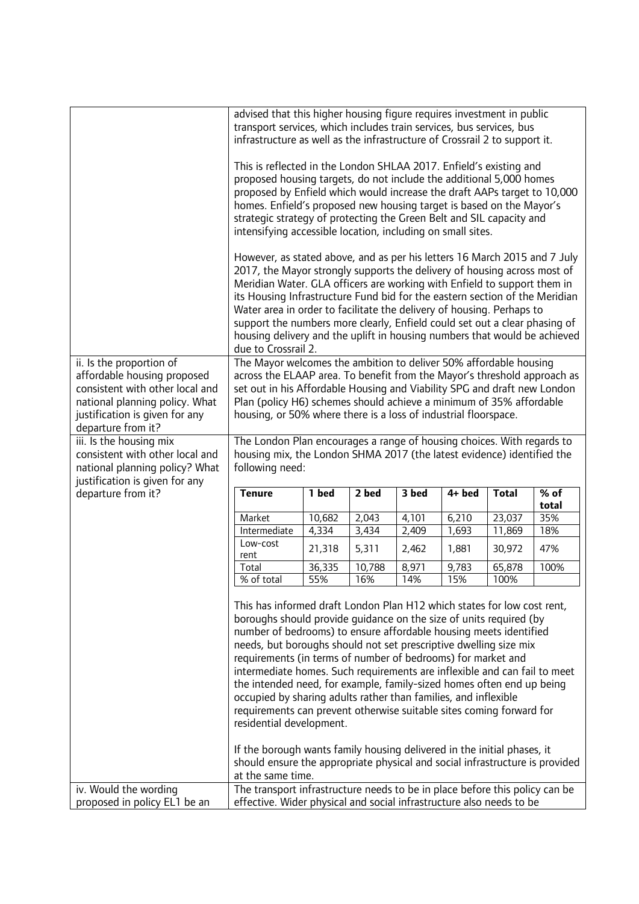|                                                                                                                                                                                      | advised that this higher housing figure requires investment in public<br>transport services, which includes train services, bus services, bus<br>infrastructure as well as the infrastructure of Crossrail 2 to support it.                                                                                                                                                                                                                                                                                                                                                                                                                                                                                                                                     |        |        |       |        |              |                             |
|--------------------------------------------------------------------------------------------------------------------------------------------------------------------------------------|-----------------------------------------------------------------------------------------------------------------------------------------------------------------------------------------------------------------------------------------------------------------------------------------------------------------------------------------------------------------------------------------------------------------------------------------------------------------------------------------------------------------------------------------------------------------------------------------------------------------------------------------------------------------------------------------------------------------------------------------------------------------|--------|--------|-------|--------|--------------|-----------------------------|
|                                                                                                                                                                                      | This is reflected in the London SHLAA 2017. Enfield's existing and<br>proposed housing targets, do not include the additional 5,000 homes<br>proposed by Enfield which would increase the draft AAPs target to 10,000<br>homes. Enfield's proposed new housing target is based on the Mayor's<br>strategic strategy of protecting the Green Belt and SIL capacity and<br>intensifying accessible location, including on small sites.<br>However, as stated above, and as per his letters 16 March 2015 and 7 July                                                                                                                                                                                                                                               |        |        |       |        |              |                             |
|                                                                                                                                                                                      | 2017, the Mayor strongly supports the delivery of housing across most of<br>Meridian Water. GLA officers are working with Enfield to support them in<br>its Housing Infrastructure Fund bid for the eastern section of the Meridian<br>Water area in order to facilitate the delivery of housing. Perhaps to<br>support the numbers more clearly, Enfield could set out a clear phasing of<br>housing delivery and the uplift in housing numbers that would be achieved<br>due to Crossrail 2.                                                                                                                                                                                                                                                                  |        |        |       |        |              |                             |
| ii. Is the proportion of<br>affordable housing proposed<br>consistent with other local and<br>national planning policy. What<br>justification is given for any<br>departure from it? | The Mayor welcomes the ambition to deliver 50% affordable housing<br>across the ELAAP area. To benefit from the Mayor's threshold approach as<br>set out in his Affordable Housing and Viability SPG and draft new London<br>Plan (policy H6) schemes should achieve a minimum of 35% affordable<br>housing, or 50% where there is a loss of industrial floorspace.                                                                                                                                                                                                                                                                                                                                                                                             |        |        |       |        |              |                             |
| iii. Is the housing mix<br>consistent with other local and<br>national planning policy? What<br>justification is given for any                                                       | The London Plan encourages a range of housing choices. With regards to<br>housing mix, the London SHMA 2017 (the latest evidence) identified the<br>following need:                                                                                                                                                                                                                                                                                                                                                                                                                                                                                                                                                                                             |        |        |       |        |              |                             |
| departure from it?                                                                                                                                                                   | <b>Tenure</b>                                                                                                                                                                                                                                                                                                                                                                                                                                                                                                                                                                                                                                                                                                                                                   | 1 bed  | 2 bed  | 3 bed | 4+ bed | <b>Total</b> | $\overline{\%}$ of<br>total |
|                                                                                                                                                                                      | Market                                                                                                                                                                                                                                                                                                                                                                                                                                                                                                                                                                                                                                                                                                                                                          | 10,682 | 2,043  | 4,101 | 6,210  | 23,037       | 35%                         |
|                                                                                                                                                                                      | Intermediate                                                                                                                                                                                                                                                                                                                                                                                                                                                                                                                                                                                                                                                                                                                                                    | 4,334  | 3,434  | 2,409 | 1,693  | 11,869       | 18%                         |
|                                                                                                                                                                                      | Low-cost<br>rent                                                                                                                                                                                                                                                                                                                                                                                                                                                                                                                                                                                                                                                                                                                                                | 21,318 | 5,311  | 2,462 | 1,881  | 30,972       | 47%                         |
|                                                                                                                                                                                      | Total                                                                                                                                                                                                                                                                                                                                                                                                                                                                                                                                                                                                                                                                                                                                                           | 36,335 | 10,788 | 8,971 | 9,783  | 65,878       | 100%                        |
|                                                                                                                                                                                      | % of total                                                                                                                                                                                                                                                                                                                                                                                                                                                                                                                                                                                                                                                                                                                                                      | 55%    | 16%    | 14%   | 15%    | 100%         |                             |
|                                                                                                                                                                                      | This has informed draft London Plan H12 which states for low cost rent,<br>boroughs should provide guidance on the size of units required (by<br>number of bedrooms) to ensure affordable housing meets identified<br>needs, but boroughs should not set prescriptive dwelling size mix<br>requirements (in terms of number of bedrooms) for market and<br>intermediate homes. Such requirements are inflexible and can fail to meet<br>the intended need, for example, family-sized homes often end up being<br>occupied by sharing adults rather than families, and inflexible<br>requirements can prevent otherwise suitable sites coming forward for<br>residential development.<br>If the borough wants family housing delivered in the initial phases, it |        |        |       |        |              |                             |
|                                                                                                                                                                                      |                                                                                                                                                                                                                                                                                                                                                                                                                                                                                                                                                                                                                                                                                                                                                                 |        |        |       |        |              |                             |
| iv. Would the wording<br>proposed in policy EL1 be an                                                                                                                                | should ensure the appropriate physical and social infrastructure is provided<br>at the same time.<br>The transport infrastructure needs to be in place before this policy can be<br>effective. Wider physical and social infrastructure also needs to be                                                                                                                                                                                                                                                                                                                                                                                                                                                                                                        |        |        |       |        |              |                             |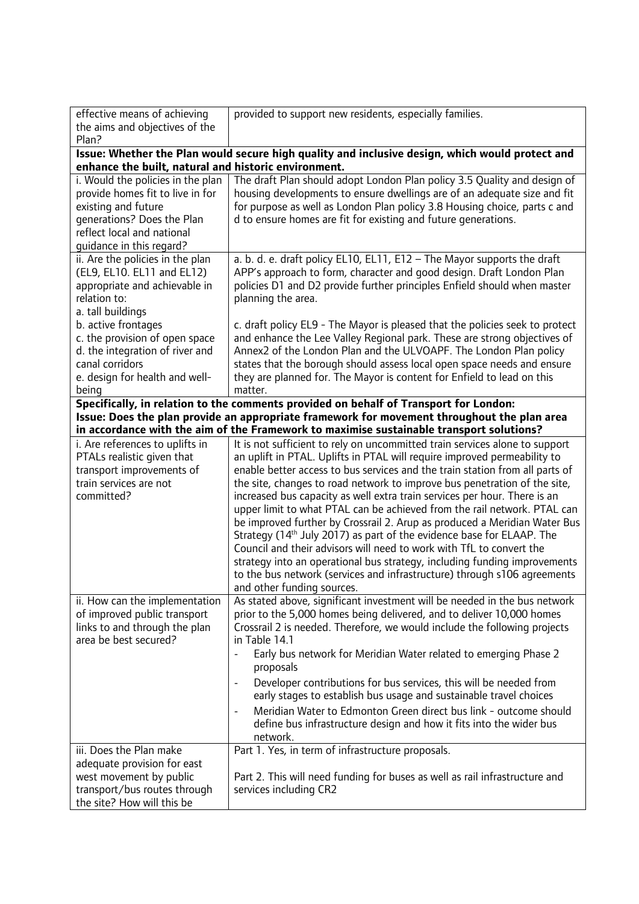| effective means of achieving                         | provided to support new residents, especially families.                                                                                                   |
|------------------------------------------------------|-----------------------------------------------------------------------------------------------------------------------------------------------------------|
| the aims and objectives of the                       |                                                                                                                                                           |
| Plan?                                                |                                                                                                                                                           |
| enhance the built, natural and historic environment. | Issue: Whether the Plan would secure high quality and inclusive design, which would protect and                                                           |
|                                                      |                                                                                                                                                           |
| i. Would the policies in the plan                    | The draft Plan should adopt London Plan policy 3.5 Quality and design of                                                                                  |
| provide homes fit to live in for                     | housing developments to ensure dwellings are of an adequate size and fit                                                                                  |
| existing and future                                  | for purpose as well as London Plan policy 3.8 Housing choice, parts c and                                                                                 |
| generations? Does the Plan                           | d to ensure homes are fit for existing and future generations.                                                                                            |
| reflect local and national                           |                                                                                                                                                           |
| guidance in this regard?                             |                                                                                                                                                           |
| ii. Are the policies in the plan                     | a. b. d. e. draft policy EL10, EL11, E12 - The Mayor supports the draft                                                                                   |
| (EL9, EL10. EL11 and EL12)                           | APP's approach to form, character and good design. Draft London Plan                                                                                      |
| appropriate and achievable in                        | policies D1 and D2 provide further principles Enfield should when master                                                                                  |
| relation to:                                         | planning the area.                                                                                                                                        |
| a. tall buildings                                    |                                                                                                                                                           |
| b. active frontages                                  | c. draft policy EL9 - The Mayor is pleased that the policies seek to protect                                                                              |
| c. the provision of open space                       | and enhance the Lee Valley Regional park. These are strong objectives of                                                                                  |
| d. the integration of river and                      | Annex2 of the London Plan and the ULVOAPF. The London Plan policy                                                                                         |
| canal corridors                                      | states that the borough should assess local open space needs and ensure                                                                                   |
| e. design for health and well-                       | they are planned for. The Mayor is content for Enfield to lead on this                                                                                    |
| being                                                | matter.                                                                                                                                                   |
|                                                      | Specifically, in relation to the comments provided on behalf of Transport for London:                                                                     |
|                                                      | Issue: Does the plan provide an appropriate framework for movement throughout the plan area                                                               |
|                                                      | in accordance with the aim of the Framework to maximise sustainable transport solutions?                                                                  |
| i. Are references to uplifts in                      | It is not sufficient to rely on uncommitted train services alone to support                                                                               |
| PTALs realistic given that                           | an uplift in PTAL. Uplifts in PTAL will require improved permeability to                                                                                  |
| transport improvements of                            | enable better access to bus services and the train station from all parts of                                                                              |
| train services are not                               | the site, changes to road network to improve bus penetration of the site,                                                                                 |
| committed?                                           | increased bus capacity as well extra train services per hour. There is an                                                                                 |
|                                                      |                                                                                                                                                           |
|                                                      | upper limit to what PTAL can be achieved from the rail network. PTAL can                                                                                  |
|                                                      | be improved further by Crossrail 2. Arup as produced a Meridian Water Bus                                                                                 |
|                                                      | Strategy (14 <sup>th</sup> July 2017) as part of the evidence base for ELAAP. The<br>Council and their advisors will need to work with TfL to convert the |
|                                                      |                                                                                                                                                           |
|                                                      | strategy into an operational bus strategy, including funding improvements                                                                                 |
|                                                      | to the bus network (services and infrastructure) through s106 agreements                                                                                  |
|                                                      | and other funding sources.                                                                                                                                |
| ii. How can the implementation                       | As stated above, significant investment will be needed in the bus network                                                                                 |
| of improved public transport                         | prior to the 5,000 homes being delivered, and to deliver 10,000 homes                                                                                     |
| links to and through the plan                        | Crossrail 2 is needed. Therefore, we would include the following projects                                                                                 |
| area be best secured?                                | in Table 14.1                                                                                                                                             |
|                                                      | Early bus network for Meridian Water related to emerging Phase 2<br>proposals                                                                             |
|                                                      | Developer contributions for bus services, this will be needed from                                                                                        |
|                                                      | early stages to establish bus usage and sustainable travel choices                                                                                        |
|                                                      |                                                                                                                                                           |
|                                                      | Meridian Water to Edmonton Green direct bus link - outcome should                                                                                         |
|                                                      | define bus infrastructure design and how it fits into the wider bus                                                                                       |
|                                                      | network.                                                                                                                                                  |
| iii. Does the Plan make                              | Part 1. Yes, in term of infrastructure proposals.                                                                                                         |
| adequate provision for east                          |                                                                                                                                                           |
| west movement by public                              | Part 2. This will need funding for buses as well as rail infrastructure and                                                                               |
| transport/bus routes through                         | services including CR2                                                                                                                                    |
| the site? How will this be                           |                                                                                                                                                           |